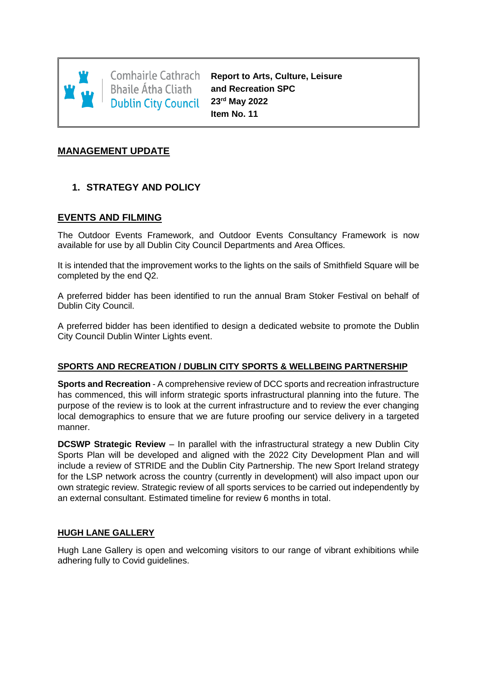

Comhairle Cathrach **Bhaile Átha Cliath Dublin City Council** 

**Report to Arts, Culture, Leisure and Recreation SPC 23rd May 2022 Item No. 11**

## **MANAGEMENT UPDATE**

# **1. STRATEGY AND POLICY**

### **EVENTS AND FILMING**

The Outdoor Events Framework, and Outdoor Events Consultancy Framework is now available for use by all Dublin City Council Departments and Area Offices.

It is intended that the improvement works to the lights on the sails of Smithfield Square will be completed by the end Q2.

A preferred bidder has been identified to run the annual Bram Stoker Festival on behalf of Dublin City Council.

A preferred bidder has been identified to design a dedicated website to promote the Dublin City Council Dublin Winter Lights event.

### **SPORTS AND RECREATION / DUBLIN CITY SPORTS & WELLBEING PARTNERSHIP**

**Sports and Recreation** - A comprehensive review of DCC sports and recreation infrastructure has commenced, this will inform strategic sports infrastructural planning into the future. The purpose of the review is to look at the current infrastructure and to review the ever changing local demographics to ensure that we are future proofing our service delivery in a targeted manner.

**DCSWP Strategic Review** – In parallel with the infrastructural strategy a new Dublin City Sports Plan will be developed and aligned with the 2022 City Development Plan and will include a review of STRIDE and the Dublin City Partnership. The new Sport Ireland strategy for the LSP network across the country (currently in development) will also impact upon our own strategic review. Strategic review of all sports services to be carried out independently by an external consultant. Estimated timeline for review 6 months in total.

### **HUGH LANE GALLERY**

Hugh Lane Gallery is open and welcoming visitors to our range of vibrant exhibitions while adhering fully to Covid guidelines.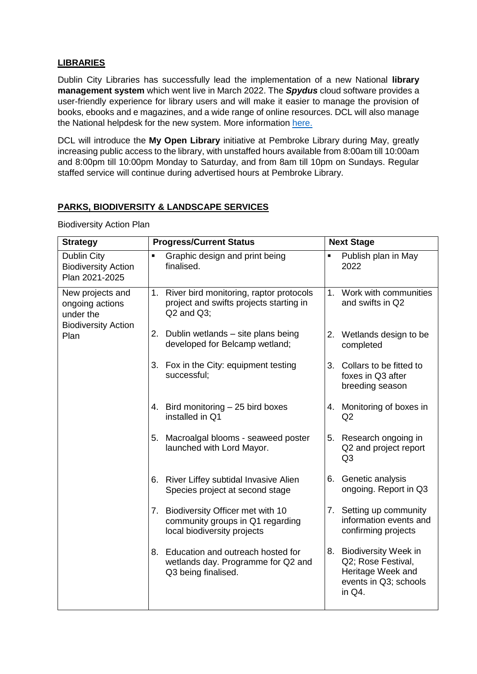## **LIBRARIES**

Dublin City Libraries has successfully lead the implementation of a new National **library management system** which went live in March 2022. The *Spydus* cloud software provides a user-friendly experience for library users and will make it easier to manage the provision of books, ebooks and e magazines, and a wide range of online resources. DCL will also manage the National helpdesk for the new system. More information [here.](https://www.dublincity.ie/library/blog/your-online-library-system-changing-better)

DCL will introduce the **My Open Library** initiative at Pembroke Library during May, greatly increasing public access to the library, with unstaffed hours available from 8:00am till 10:00am and 8:00pm till 10:00pm Monday to Saturday, and from 8am till 10pm on Sundays. Regular staffed service will continue during advertised hours at Pembroke Library.

### **PARKS, BIODIVERSITY & LANDSCAPE SERVICES**

Biodiversity Action Plan

| <b>Strategy</b>                                                                        | <b>Progress/Current Status</b>                                                                           | <b>Next Stage</b>                                                                                     |  |
|----------------------------------------------------------------------------------------|----------------------------------------------------------------------------------------------------------|-------------------------------------------------------------------------------------------------------|--|
| Dublin City<br><b>Biodiversity Action</b><br>Plan 2021-2025                            | Graphic design and print being<br>$\blacksquare$<br>finalised.                                           | Publish plan in May<br>$\blacksquare$<br>2022                                                         |  |
| New projects and<br>ongoing actions<br>under the<br><b>Biodiversity Action</b><br>Plan | 1. River bird monitoring, raptor protocols<br>project and swifts projects starting in<br>$Q2$ and $Q3$ ; | 1. Work with communities<br>and swifts in Q2                                                          |  |
|                                                                                        | 2. Dublin wetlands - site plans being<br>developed for Belcamp wetland;                                  | 2. Wetlands design to be<br>completed                                                                 |  |
|                                                                                        | 3. Fox in the City: equipment testing<br>successful;                                                     | 3. Collars to be fitted to<br>foxes in Q3 after<br>breeding season                                    |  |
|                                                                                        | 4. Bird monitoring - 25 bird boxes<br>installed in Q1                                                    | 4. Monitoring of boxes in<br>Q2                                                                       |  |
|                                                                                        | 5. Macroalgal blooms - seaweed poster<br>launched with Lord Mayor.                                       | 5. Research ongoing in<br>Q2 and project report<br>Q <sub>3</sub>                                     |  |
|                                                                                        | 6. River Liffey subtidal Invasive Alien<br>Species project at second stage                               | 6. Genetic analysis<br>ongoing. Report in Q3                                                          |  |
|                                                                                        | 7. Biodiversity Officer met with 10<br>community groups in Q1 regarding<br>local biodiversity projects   | 7. Setting up community<br>information events and<br>confirming projects                              |  |
|                                                                                        | 8. Education and outreach hosted for<br>wetlands day. Programme for Q2 and<br>Q3 being finalised.        | 8. Biodiversity Week in<br>Q2; Rose Festival,<br>Heritage Week and<br>events in Q3; schools<br>in Q4. |  |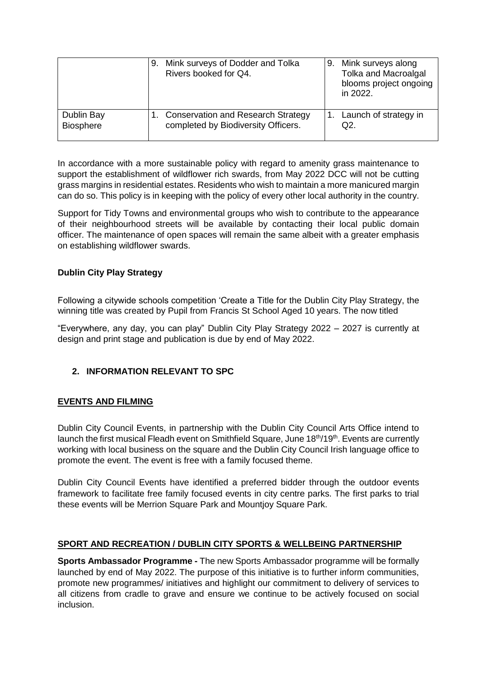|                  | 9. Mink surveys of Dodder and Tolka<br>Rivers booked for Q4. | Mink surveys along<br>9.<br><b>Tolka and Macroalgal</b><br>blooms project ongoing<br>in 2022. |
|------------------|--------------------------------------------------------------|-----------------------------------------------------------------------------------------------|
| Dublin Bay       | <b>Conservation and Research Strategy</b>                    | 1. Launch of strategy in                                                                      |
| <b>Biosphere</b> | completed by Biodiversity Officers.                          | Q2.                                                                                           |

In accordance with a more sustainable policy with regard to amenity grass maintenance to support the establishment of wildflower rich swards, from May 2022 DCC will not be cutting grass margins in residential estates. Residents who wish to maintain a more manicured margin can do so. This policy is in keeping with the policy of every other local authority in the country.

Support for Tidy Towns and environmental groups who wish to contribute to the appearance of their neighbourhood streets will be available by contacting their local public domain officer. The maintenance of open spaces will remain the same albeit with a greater emphasis on establishing wildflower swards.

# **Dublin City Play Strategy**

Following a citywide schools competition 'Create a Title for the Dublin City Play Strategy, the winning title was created by Pupil from Francis St School Aged 10 years. The now titled

"Everywhere, any day, you can play" Dublin City Play Strategy 2022 – 2027 is currently at design and print stage and publication is due by end of May 2022.

## **2. INFORMATION RELEVANT TO SPC**

## **EVENTS AND FILMING**

Dublin City Council Events, in partnership with the Dublin City Council Arts Office intend to launch the first musical Fleadh event on Smithfield Square, June 18<sup>th</sup>/19<sup>th</sup>. Events are currently working with local business on the square and the Dublin City Council Irish language office to promote the event. The event is free with a family focused theme.

Dublin City Council Events have identified a preferred bidder through the outdoor events framework to facilitate free family focused events in city centre parks. The first parks to trial these events will be Merrion Square Park and Mountjoy Square Park.

## **SPORT AND RECREATION / DUBLIN CITY SPORTS & WELLBEING PARTNERSHIP**

**Sports Ambassador Programme -** The new Sports Ambassador programme will be formally launched by end of May 2022. The purpose of this initiative is to further inform communities, promote new programmes/ initiatives and highlight our commitment to delivery of services to all citizens from cradle to grave and ensure we continue to be actively focused on social inclusion.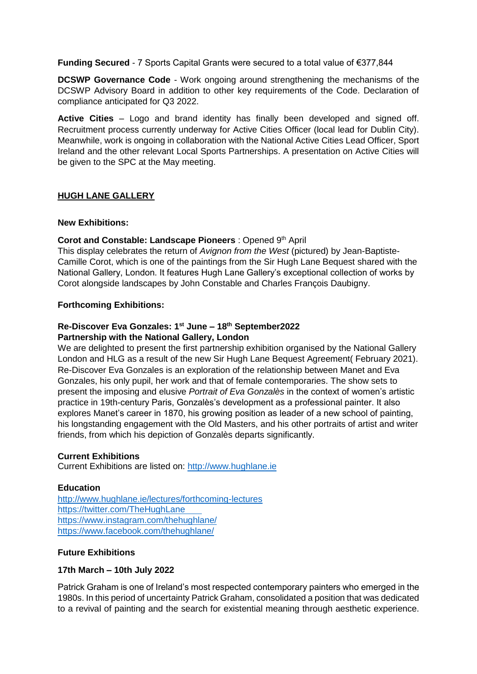**Funding Secured** - 7 Sports Capital Grants were secured to a total value of €377,844

**DCSWP Governance Code** - Work ongoing around strengthening the mechanisms of the DCSWP Advisory Board in addition to other key requirements of the Code. Declaration of compliance anticipated for Q3 2022.

**Active Cities** – Logo and brand identity has finally been developed and signed off. Recruitment process currently underway for Active Cities Officer (local lead for Dublin City). Meanwhile, work is ongoing in collaboration with the National Active Cities Lead Officer, Sport Ireland and the other relevant Local Sports Partnerships. A presentation on Active Cities will be given to the SPC at the May meeting.

### **HUGH LANE GALLERY**

### **New Exhibitions:**

### **Corot and Constable: Landscape Pioneers** : Opened 9th April

This display celebrates the return of *Avignon from the West* (pictured) by Jean-Baptiste-Camille Corot, which is one of the paintings from the Sir Hugh Lane Bequest shared with the National Gallery, London. It features Hugh Lane Gallery's exceptional collection of works by Corot alongside landscapes by John Constable and Charles François Daubigny.

### **Forthcoming Exhibitions:**

### **Re-Discover Eva Gonzales: 1 st June – 18th September2022 Partnership with the National Gallery, London**

We are delighted to present the first partnership exhibition organised by the National Gallery London and HLG as a result of the new Sir Hugh Lane Bequest Agreement( February 2021). Re-Discover Eva Gonzales is an exploration of the relationship between Manet and Eva Gonzales, his only pupil, her work and that of female contemporaries. The show sets to present the imposing and elusive *Portrait of Eva Gonzalès* in the context of women's artistic practice in 19th-century Paris, Gonzalès's development as a professional painter. It also explores Manet's career in 1870, his growing position as leader of a new school of painting, his longstanding engagement with the Old Masters, and his other portraits of artist and writer friends, from which his depiction of Gonzalès departs significantly.

### **Current Exhibitions**

Current Exhibitions are listed on: [http://www.hughlane.ie](http://www.hughlane.ie/)

### **Education**

<http://www.hughlane.ie/lectures/forthcoming-lectures> <https://twitter.com/TheHughLane> <https://www.instagram.com/thehughlane/> <https://www.facebook.com/thehughlane/>

### **Future Exhibitions**

### **17th March – 10th July 2022**

Patrick Graham is one of Ireland's most respected contemporary painters who emerged in the 1980s. In this period of uncertainty Patrick Graham, consolidated a position that was dedicated to a revival of painting and the search for existential meaning through aesthetic experience.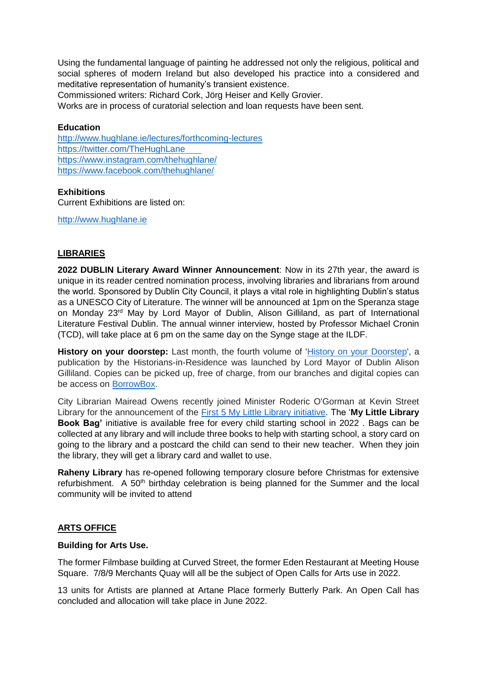Using the fundamental language of painting he addressed not only the religious, political and social spheres of modern Ireland but also developed his practice into a considered and meditative representation of humanity's transient existence.

Commissioned writers: Richard Cork, Jörg Heiser and Kelly Grovier.

Works are in process of curatorial selection and loan requests have been sent.

#### **Education**

<http://www.hughlane.ie/lectures/forthcoming-lectures> <https://twitter.com/TheHughLane> <https://www.instagram.com/thehughlane/> <https://www.facebook.com/thehughlane/>

#### **Exhibitions**

Current Exhibitions are listed on:

[http://www.hughlane.ie](http://www.hughlane.ie/)

### **LIBRARIES**

**2022 DUBLIN Literary Award Winner Announcement**: Now in its 27th year, the award is unique in its reader centred nomination process, involving libraries and librarians from around the world. Sponsored by Dublin City Council, it plays a vital role in highlighting Dublin's status as a UNESCO City of Literature. The winner will be announced at 1pm on the Speranza stage on Monday 23rd May by Lord Mayor of Dublin, Alison Gilliland, as part of [International](https://scanner.topsec.com/?d=1962&t=fac8bf0e764b3f13f424cac6eacf46e76c39c024&r=show&u=https%3A%2F%2Filfdublin.com%2F)  [Literature Festival Dublin.](https://scanner.topsec.com/?d=1962&t=fac8bf0e764b3f13f424cac6eacf46e76c39c024&r=show&u=https%3A%2F%2Filfdublin.com%2F) The annual winner interview, hosted by Professor Michael Cronin (TCD), will take place at 6 pm on the same day on the Synge stage at the ILDF.

History on your doorstep: Last month, the fourth volume of ['History on your Doorstep'](https://scanner.topsec.com/?d=1962&r=show&t=b7a6fcf6525c7c5d163152ff8162ffe320d9f59b&u=https%3A%2F%2Fdublincitylibraries.us4.list-manage.com%2Ftrack%2Fclick%3Fu%3Dfce4022e21f3eb4468db86aff%26id%3Dd8865ff303%26e%3D6a08e9504f), a publication by the Historians-in-Residence was launched by Lord Mayor of Dublin Alison Gilliland. Copies can be picked up, free of charge, from our branches and digital copies can be access on [BorrowBox.](https://scanner.topsec.com/?d=1962&r=show&t=7e1d60899832227f016bd74f756d7175aaf35aa9&u=https%3A%2F%2Fdublincitylibraries.us4.list-manage.com%2Ftrack%2Fclick%3Fu%3Dfce4022e21f3eb4468db86aff%26id%3Db70d65db18%26e%3D6a08e9504f)

City Librarian Mairead Owens recently joined Minister Roderic O'Gorman at Kevin Street Library for the announcement of the [First 5 My Little Library initiative.](https://scanner.topsec.com/?d=1962&r=show&t=03af3ee5da47c4a972c3c22207a5819a6e8dab6a&u=https%3A%2F%2Fdublincitylibraries.us4.list-manage.com%2Ftrack%2Fclick%3Fu%3Dfce4022e21f3eb4468db86aff%26id%3D631909d4e6%26e%3D6a08e9504f) The '**My Little Library Book Bag'** initiative is available free for every child starting school in 2022 . Bags can be collected at any library and will include three books to help with starting school, a story card on going to the library and a postcard the child can send to their new teacher. When they join the library, they will get a library card and wallet to use.

**Raheny Library** has re-opened following temporary closure before Christmas for extensive refurbishment. A 50<sup>th</sup> birthday celebration is being planned for the Summer and the local community will be invited to attend

### **ARTS OFFICE**

#### **Building for Arts Use.**

The former Filmbase building at Curved Street, the former Eden Restaurant at Meeting House Square. 7/8/9 Merchants Quay will all be the subject of Open Calls for Arts use in 2022.

13 units for Artists are planned at Artane Place formerly Butterly Park. An Open Call has concluded and allocation will take place in June 2022.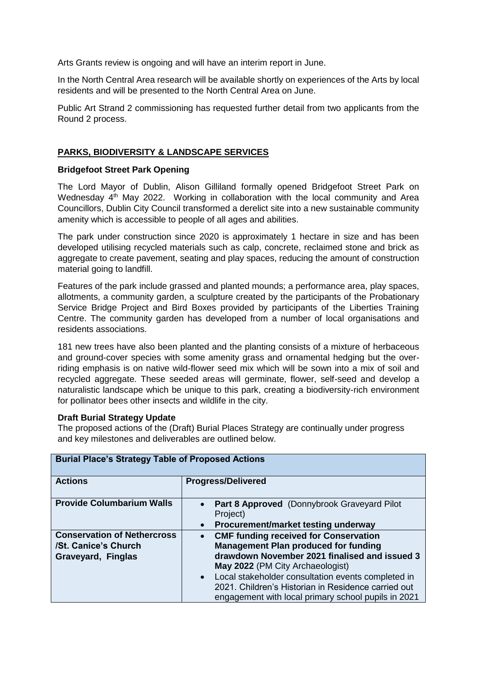Arts Grants review is ongoing and will have an interim report in June.

In the North Central Area research will be available shortly on experiences of the Arts by local residents and will be presented to the North Central Area on June.

Public Art Strand 2 commissioning has requested further detail from two applicants from the Round 2 process.

### **PARKS, BIODIVERSITY & LANDSCAPE SERVICES**

#### **Bridgefoot Street Park Opening**

The Lord Mayor of Dublin, Alison Gilliland formally opened Bridgefoot Street Park on Wednesday 4<sup>th</sup> May 2022. Working in collaboration with the local community and Area Councillors, Dublin City Council transformed a derelict site into a new sustainable community amenity which is accessible to people of all ages and abilities.

The park under construction since 2020 is approximately 1 hectare in size and has been developed utilising recycled materials such as calp, concrete, reclaimed stone and brick as aggregate to create pavement, seating and play spaces, reducing the amount of construction material going to landfill.

Features of the park include grassed and planted mounds; a performance area, play spaces, allotments, a community garden, a sculpture created by the participants of the Probationary Service Bridge Project and Bird Boxes provided by participants of the Liberties Training Centre. The community garden has developed from a number of local organisations and residents associations.

181 new trees have also been planted and the planting consists of a mixture of herbaceous and ground-cover species with some amenity grass and ornamental hedging but the overriding emphasis is on native wild-flower seed mix which will be sown into a mix of soil and recycled aggregate. These seeded areas will germinate, flower, self-seed and develop a naturalistic landscape which be unique to this park, creating a biodiversity-rich environment for pollinator bees other insects and wildlife in the city.

#### **Draft Burial Strategy Update**

The proposed actions of the (Draft) Burial Places Strategy are continually under progress and key milestones and deliverables are outlined below.

| <b>Burial Place's Strategy Table of Proposed Actions</b> |                                                                |  |
|----------------------------------------------------------|----------------------------------------------------------------|--|
| <b>Actions</b>                                           | <b>Progress/Delivered</b>                                      |  |
| <b>Provide Columbarium Walls</b>                         | <b>Part 8 Approved</b> (Donnybrook Graveyard Pilot<br>Project) |  |
|                                                          | Procurement/market testing underway<br>$\bullet$               |  |
| <b>Conservation of Nethercross</b>                       | <b>CMF funding received for Conservation</b><br>$\bullet$      |  |
| /St. Canice's Church                                     | <b>Management Plan produced for funding</b>                    |  |
| Graveyard, Finglas                                       | drawdown November 2021 finalised and issued 3                  |  |
|                                                          | May 2022 (PM City Archaeologist)                               |  |
|                                                          | Local stakeholder consultation events completed in             |  |
|                                                          | 2021. Children's Historian in Residence carried out            |  |
|                                                          | engagement with local primary school pupils in 2021            |  |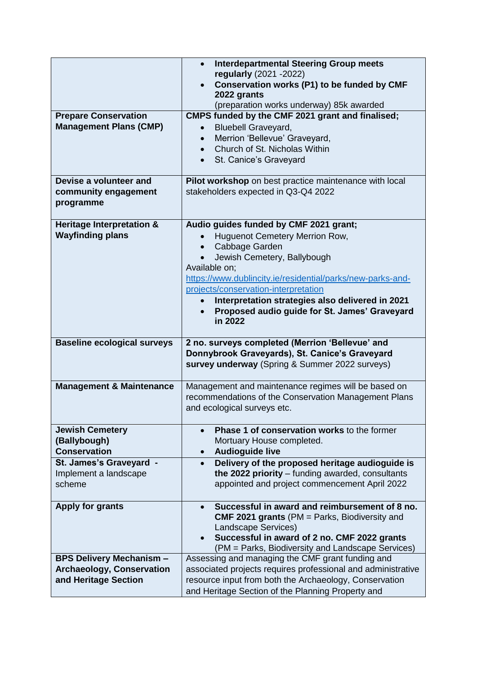|                                                                                             | <b>Interdepartmental Steering Group meets</b><br>$\bullet$<br>regularly (2021 - 2022)<br>Conservation works (P1) to be funded by CMF                                                                                                                                                                                                                                          |  |
|---------------------------------------------------------------------------------------------|-------------------------------------------------------------------------------------------------------------------------------------------------------------------------------------------------------------------------------------------------------------------------------------------------------------------------------------------------------------------------------|--|
|                                                                                             | 2022 grants<br>(preparation works underway) 85k awarded                                                                                                                                                                                                                                                                                                                       |  |
| <b>Prepare Conservation</b><br><b>Management Plans (CMP)</b>                                | CMPS funded by the CMF 2021 grant and finalised;<br><b>Bluebell Graveyard,</b><br>Merrion 'Bellevue' Graveyard,<br>Church of St. Nicholas Within<br>St. Canice's Graveyard<br>$\bullet$                                                                                                                                                                                       |  |
| Devise a volunteer and<br>community engagement<br>programme                                 | Pilot workshop on best practice maintenance with local<br>stakeholders expected in Q3-Q4 2022                                                                                                                                                                                                                                                                                 |  |
| Heritage Interpretation &<br><b>Wayfinding plans</b>                                        | Audio guides funded by CMF 2021 grant;<br>Huguenot Cemetery Merrion Row,<br>Cabbage Garden<br>$\bullet$<br>Jewish Cemetery, Ballybough<br>Available on;<br>https://www.dublincity.ie/residential/parks/new-parks-and-<br>projects/conservation-interpretation<br>Interpretation strategies also delivered in 2021<br>Proposed audio guide for St. James' Graveyard<br>in 2022 |  |
| <b>Baseline ecological surveys</b>                                                          | 2 no. surveys completed (Merrion 'Bellevue' and<br>Donnybrook Graveyards), St. Canice's Graveyard<br>survey underway (Spring & Summer 2022 surveys)                                                                                                                                                                                                                           |  |
| <b>Management &amp; Maintenance</b>                                                         | Management and maintenance regimes will be based on<br>recommendations of the Conservation Management Plans<br>and ecological surveys etc.                                                                                                                                                                                                                                    |  |
| <b>Jewish Cemetery</b><br>(Ballybough)<br><b>Conservation</b>                               | Phase 1 of conservation works to the former<br>$\bullet$<br>Mortuary House completed.<br><b>Audioguide live</b><br>$\bullet$                                                                                                                                                                                                                                                  |  |
| St. James's Graveyard -<br>Implement a landscape<br>scheme                                  | Delivery of the proposed heritage audioguide is<br>$\bullet$<br>the 2022 priority $-$ funding awarded, consultants<br>appointed and project commencement April 2022                                                                                                                                                                                                           |  |
| <b>Apply for grants</b>                                                                     | Successful in award and reimbursement of 8 no.<br>$\bullet$<br><b>CMF 2021 grants (PM = Parks, Biodiversity and</b><br>Landscape Services)<br>Successful in award of 2 no. CMF 2022 grants<br>(PM = Parks, Biodiversity and Landscape Services)                                                                                                                               |  |
| <b>BPS Delivery Mechanism -</b><br><b>Archaeology, Conservation</b><br>and Heritage Section | Assessing and managing the CMF grant funding and<br>associated projects requires professional and administrative<br>resource input from both the Archaeology, Conservation<br>and Heritage Section of the Planning Property and                                                                                                                                               |  |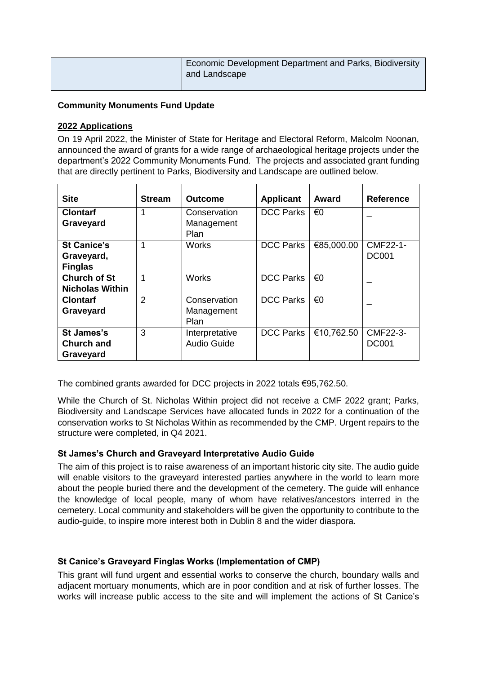| Economic Development Department and Parks, Biodiversity<br>and Landscape |
|--------------------------------------------------------------------------|
|--------------------------------------------------------------------------|

### **Community Monuments Fund Update**

### **2022 Applications**

On 19 April 2022, the Minister of State for Heritage and Electoral Reform, Malcolm Noonan, announced the award of grants for a wide range of archaeological heritage projects under the department's 2022 Community Monuments Fund. The projects and associated grant funding that are directly pertinent to Parks, Biodiversity and Landscape are outlined below.

| <b>Site</b>            | <b>Stream</b>  | <b>Outcome</b>     | <b>Applicant</b> | Award      | <b>Reference</b> |
|------------------------|----------------|--------------------|------------------|------------|------------------|
| <b>Clontarf</b>        |                | Conservation       | <b>DCC Parks</b> | €0         |                  |
| Graveyard              |                | Management         |                  |            |                  |
|                        |                | Plan               |                  |            |                  |
| <b>St Canice's</b>     | 1              | <b>Works</b>       | <b>DCC Parks</b> | €85,000.00 | CMF22-1-         |
| Graveyard,             |                |                    |                  |            | <b>DC001</b>     |
| <b>Finglas</b>         |                |                    |                  |            |                  |
| <b>Church of St</b>    | 1              | <b>Works</b>       | <b>DCC Parks</b> | €0         |                  |
| <b>Nicholas Within</b> |                |                    |                  |            |                  |
| <b>Clontarf</b>        | $\overline{2}$ | Conservation       | <b>DCC Parks</b> | €0         |                  |
| Graveyard              |                | Management         |                  |            |                  |
|                        |                | Plan               |                  |            |                  |
| <b>St James's</b>      | 3              | Interpretative     | <b>DCC Parks</b> | €10,762.50 | CMF22-3-         |
| <b>Church and</b>      |                | <b>Audio Guide</b> |                  |            | <b>DC001</b>     |
| Graveyard              |                |                    |                  |            |                  |

The combined grants awarded for DCC projects in 2022 totals €95,762.50.

While the Church of St. Nicholas Within project did not receive a CMF 2022 grant; Parks, Biodiversity and Landscape Services have allocated funds in 2022 for a continuation of the conservation works to St Nicholas Within as recommended by the CMP. Urgent repairs to the structure were completed, in Q4 2021.

## **St James's Church and Graveyard Interpretative Audio Guide**

The aim of this project is to raise awareness of an important historic city site. The audio guide will enable visitors to the graveyard interested parties anywhere in the world to learn more about the people buried there and the development of the cemetery. The guide will enhance the knowledge of local people, many of whom have relatives/ancestors interred in the cemetery. Local community and stakeholders will be given the opportunity to contribute to the audio-guide, to inspire more interest both in Dublin 8 and the wider diaspora.

## **St Canice's Graveyard Finglas Works (Implementation of CMP)**

This grant will fund urgent and essential works to conserve the church, boundary walls and adjacent mortuary monuments, which are in poor condition and at risk of further losses. The works will increase public access to the site and will implement the actions of St Canice's